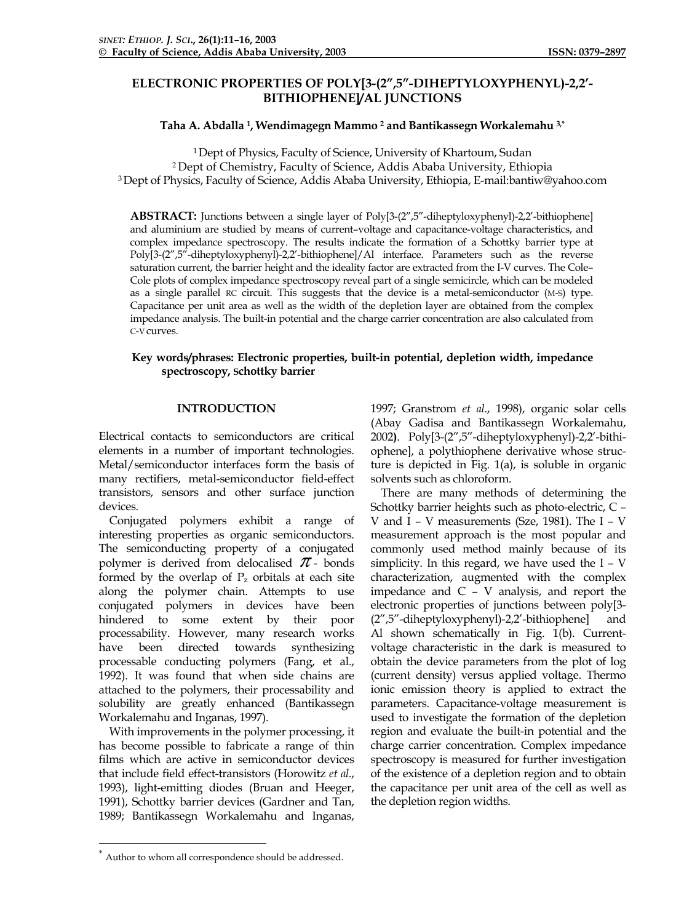# **ELECTRONIC PROPERTIES OF POLY[3-(2",5"-DIHEPTYLOXYPHENYL)-2,2'- BITHIOPHENE]/AL JUNCTIONS**

# **Taha A. Abdalla 1, Wendimagegn Mammo 2 and Bantikassegn Workalemahu 3,[\\*](#page-0-0)**

1 Dept of Physics, Faculty of Science, University of Khartoum, Sudan 2 Dept of Chemistry, Faculty of Science, Addis Ababa University, Ethiopia 3 Dept of Physics, Faculty of Science, Addis Ababa University, Ethiopia, E-mail:bantiw@yahoo.com

**ABSTRACT:** Junctions between a single layer of Poly[3-(2",5"-diheptyloxyphenyl)-2,2'-bithiophene] and aluminium are studied by means of current–voltage and capacitance-voltage characteristics, and complex impedance spectroscopy. The results indicate the formation of a Schottky barrier type at Poly[3-(2",5"-diheptyloxyphenyl)-2,2'-bithiophene]/Al interface. Parameters such as the reverse saturation current, the barrier height and the ideality factor are extracted from the I-V curves. The Cole– Cole plots of complex impedance spectroscopy reveal part of a single semicircle, which can be modeled as a single parallel RC circuit. This suggests that the device is a metal-semiconductor (M-S) type. Capacitance per unit area as well as the width of the depletion layer are obtained from the complex impedance analysis. The built-in potential and the charge carrier concentration are also calculated from C-V curves.

# **Key words/phrases: Electronic properties, built-in potential, depletion width, impedance spectroscopy, Schottky barrier**

# **INTRODUCTION**

Electrical contacts to semiconductors are critical elements in a number of important technologies. Metal/semiconductor interfaces form the basis of many rectifiers, metal-semiconductor field-effect transistors, sensors and other surface junction devices.

Conjugated polymers exhibit a range of interesting properties as organic semiconductors. The semiconducting property of a conjugated polymer is derived from delocalised  $\pi$ - bonds formed by the overlap of  $P_z$  orbitals at each site along the polymer chain. Attempts to use conjugated polymers in devices have been hindered to some extent by their poor processability. However, many research works have been directed towards synthesizing processable conducting polymers (Fang, et al., 1992). It was found that when side chains are attached to the polymers, their processability and solubility are greatly enhanced (Bantikassegn Workalemahu and Inganas, 1997).

With improvements in the polymer processing, it has become possible to fabricate a range of thin films which are active in semiconductor devices that include field effect-transistors (Horowitz *et al*., 1993), light-emitting diodes (Bruan and Heeger, 1991), Schottky barrier devices (Gardner and Tan, 1989; Bantikassegn Workalemahu and Inganas,

1997; Granstrom *et al*., 1998), organic solar cells (Abay Gadisa and Bantikassegn Workalemahu, 2002**)**. Poly[3-(2",5"-diheptyloxyphenyl)-2,2'-bithiophene], a polythiophene derivative whose structure is depicted in Fig. 1(a), is soluble in organic solvents such as chloroform.

There are many methods of determining the Schottky barrier heights such as photo-electric, C – V and I – V measurements (Sze, 1981). The I – V measurement approach is the most popular and commonly used method mainly because of its simplicity. In this regard, we have used the I – V characterization, augmented with the complex impedance and C – V analysis, and report the electronic properties of junctions between poly[3- (2",5"-diheptyloxyphenyl)-2,2'-bithiophene] and Al shown schematically in Fig. 1(b). Currentvoltage characteristic in the dark is measured to obtain the device parameters from the plot of log (current density) versus applied voltage. Thermo ionic emission theory is applied to extract the parameters. Capacitance-voltage measurement is used to investigate the formation of the depletion region and evaluate the built-in potential and the charge carrier concentration. Complex impedance spectroscopy is measured for further investigation of the existence of a depletion region and to obtain the capacitance per unit area of the cell as well as the depletion region widths.

 $\overline{a}$ 

<span id="page-0-0"></span>Author to whom all correspondence should be addressed.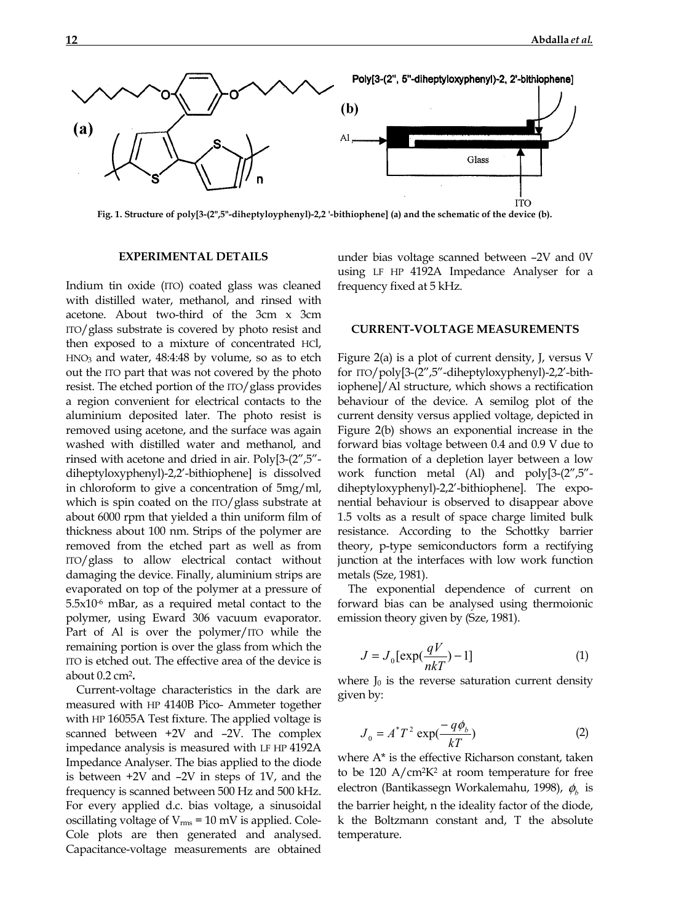

**Fig. 1. Structure of poly[3-(2",5"-diheptyloyphenyl)-2,2 '-bithiophene] (a) and the schematic of the device (b).** 

# **EXPERIMENTAL DETAILS**

Indium tin oxide (ITO) coated glass was cleaned with distilled water, methanol, and rinsed with acetone. About two-third of the 3cm x 3cm ITO/glass substrate is covered by photo resist and then exposed to a mixture of concentrated HCl, HNO3 and water, 48:4:48 by volume, so as to etch out the ITO part that was not covered by the photo resist. The etched portion of the ITO/glass provides a region convenient for electrical contacts to the aluminium deposited later. The photo resist is removed using acetone, and the surface was again washed with distilled water and methanol, and rinsed with acetone and dried in air. Poly[3-(2",5" diheptyloxyphenyl)-2,2'-bithiophene] is dissolved in chloroform to give a concentration of 5mg/ml, which is spin coated on the ITO/glass substrate at about 6000 rpm that yielded a thin uniform film of thickness about 100 nm. Strips of the polymer are removed from the etched part as well as from ITO/glass to allow electrical contact without damaging the device. Finally, aluminium strips are evaporated on top of the polymer at a pressure of  $5.5x10<sup>-6</sup>$  mBar, as a required metal contact to the polymer, using Eward 306 vacuum evaporator. Part of Al is over the polymer/ITO while the remaining portion is over the glass from which the ITO is etched out. The effective area of the device is about 0.2 cm2**.**

Current-voltage characteristics in the dark are measured with HP 4140B Pico- Ammeter together with HP 16055A Test fixture. The applied voltage is scanned between +2V and –2V. The complex impedance analysis is measured with LF HP 4192A Impedance Analyser. The bias applied to the diode is between +2V and –2V in steps of 1V, and the frequency is scanned between 500 Hz and 500 kHz. For every applied d.c. bias voltage, a sinusoidal oscillating voltage of  $V_{\text{rms}}$  = 10 mV is applied. Cole-Cole plots are then generated and analysed. Capacitance-voltage measurements are obtained under bias voltage scanned between –2V and 0V using LF HP 4192A Impedance Analyser for a frequency fixed at 5 kHz.

### **CURRENT-VOLTAGE MEASUREMENTS**

Figure 2(a) is a plot of current density, J, versus V for ITO/poly[3-(2",5"-diheptyloxyphenyl)-2,2'-bithiophene]/Al structure, which shows a rectification behaviour of the device. A semilog plot of the current density versus applied voltage, depicted in Figure 2(b) shows an exponential increase in the forward bias voltage between 0.4 and 0.9 V due to the formation of a depletion layer between a low work function metal (Al) and poly[3-(2",5" diheptyloxyphenyl)-2,2'-bithiophene]. The exponential behaviour is observed to disappear above 1.5 volts as a result of space charge limited bulk resistance. According to the Schottky barrier theory, p-type semiconductors form a rectifying junction at the interfaces with low work function metals (Sze, 1981).

The exponential dependence of current on forward bias can be analysed using thermoionic emission theory given by (Sze, 1981).

$$
J = J_0 \left[ \exp(\frac{qV}{nkT}) - 1 \right] \tag{1}
$$

where  $J_0$  is the reverse saturation current density given by:

$$
J_0 = A^*T^2 \exp(\frac{-q\phi_b}{kT})
$$
 (2)

where A\* is the effective Richarson constant, taken to be 120  $A/cm^2K^2$  at room temperature for free electron (Bantikassegn Workalemahu, 1998),  $φ$ <sub>b</sub> is the barrier height, n the ideality factor of the diode, k the Boltzmann constant and, T the absolute temperature.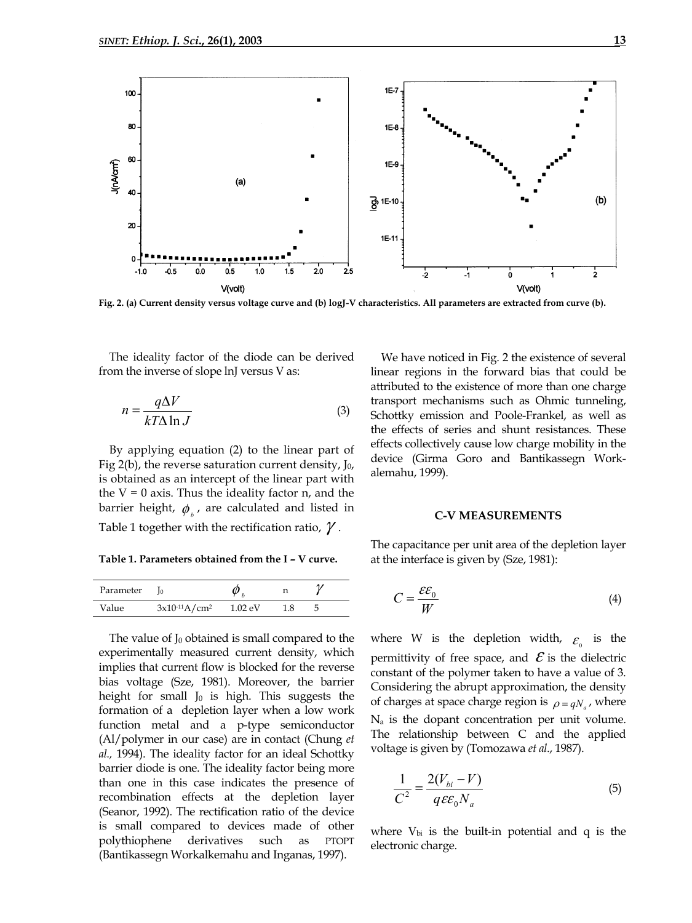

**Fig. 2. (a) Current density versus voltage curve and (b) logJ-V characteristics. All parameters are extracted from curve (b).** 

The ideality factor of the diode can be derived from the inverse of slope lnJ versus V as:

$$
n = \frac{q\Delta V}{kT\Delta \ln J}
$$
 (3)

By applying equation (2) to the linear part of Fig 2(b), the reverse saturation current density,  $J_0$ , is obtained as an intercept of the linear part with the  $V = 0$  axis. Thus the ideality factor n, and the barrier height,  $\phi_{\mu}$ , are calculated and listed in Table 1 together with the rectification ratio,  $\gamma$ .

**Table 1. Parameters obtained from the I – V curve.**

| Parameter |                    |                      |     |  |
|-----------|--------------------|----------------------|-----|--|
| Value     | $3x10^{-11}A/cm^2$ | $1.02 \,\mathrm{eV}$ | 1.8 |  |

The value of  $J_0$  obtained is small compared to the experimentally measured current density, which implies that current flow is blocked for the reverse bias voltage (Sze, 1981). Moreover, the barrier height for small  $J_0$  is high. This suggests the formation of a depletion layer when a low work function metal and a p-type semiconductor (Al/polymer in our case) are in contact (Chung *et al.,* 1994). The ideality factor for an ideal Schottky barrier diode is one. The ideality factor being more than one in this case indicates the presence of recombination effects at the depletion layer (Seanor, 1992). The rectification ratio of the device is small compared to devices made of other polythiophene derivatives such as PTOPT (Bantikassegn Workalkemahu and Inganas, 1997).

We have noticed in Fig. 2 the existence of several linear regions in the forward bias that could be attributed to the existence of more than one charge transport mechanisms such as Ohmic tunneling, Schottky emission and Poole-Frankel, as well as the effects of series and shunt resistances. These effects collectively cause low charge mobility in the device (Girma Goro and Bantikassegn Workalemahu, 1999).

#### **C-V MEASUREMENTS**

The capacitance per unit area of the depletion layer at the interface is given by (Sze, 1981):

$$
C = \frac{\varepsilon \varepsilon_0}{W} \tag{4}
$$

where W is the depletion width,  $\varepsilon$  is the permittivity of free space, and  $\mathcal E$  is the dielectric constant of the polymer taken to have a value of 3. Considering the abrupt approximation, the density of charges at space charge region is  $\rho = qN$ , where  $N_a$  is the dopant concentration per unit volume. The relationship between C and the applied voltage is given by (Tomozawa *et al*., 1987).

$$
\frac{1}{C^2} = \frac{2(V_{bi} - V)}{q \varepsilon \varepsilon_0 N_a} \tag{5}
$$

where  $V_{bi}$  is the built-in potential and q is the electronic charge.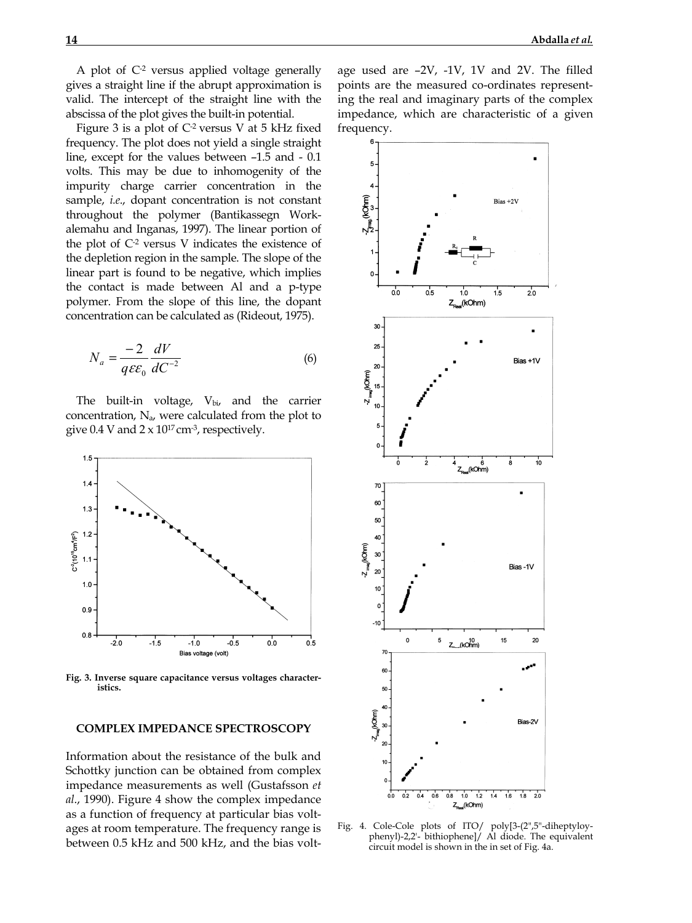A plot of C-2 versus applied voltage generally gives a straight line if the abrupt approximation is valid. The intercept of the straight line with the abscissa of the plot gives the built-in potential.

Figure 3 is a plot of  $C<sup>2</sup>$  versus V at 5 kHz fixed frequency. The plot does not yield a single straight line, except for the values between –1.5 and - 0.1 volts. This may be due to inhomogenity of the impurity charge carrier concentration in the sample, *i.e*., dopant concentration is not constant throughout the polymer (Bantikassegn Workalemahu and Inganas, 1997). The linear portion of the plot of  $C<sup>2</sup>$  versus V indicates the existence of the depletion region in the sample. The slope of the linear part is found to be negative, which implies the contact is made between Al and a p-type polymer. From the slope of this line, the dopant concentration can be calculated as (Rideout, 1975).

$$
N_a = \frac{-2}{q \varepsilon \varepsilon_0} \frac{dV}{dC^{-2}} \tag{6}
$$

The built-in voltage,  $V_{bi}$ , and the carrier concentration,  $N_a$ , were calculated from the plot to give  $0.4$  V and  $2 \times 10^{17}$  cm<sup>-3</sup>, respectively.



**Fig. 3. Inverse square capacitance versus voltages characteristics.** 

### **COMPLEX IMPEDANCE SPECTROSCOPY**

Information about the resistance of the bulk and Schottky junction can be obtained from complex impedance measurements as well (Gustafsson *et al*., 1990). Figure 4 show the complex impedance as a function of frequency at particular bias voltages at room temperature. The frequency range is between 0.5 kHz and 500 kHz, and the bias volt-

age used are –2V, -1V, 1V and 2V. The filled points are the measured co-ordinates representing the real and imaginary parts of the complex impedance, which are characteristic of a given frequency.



Fig. 4. Cole-Cole plots of ITO/ poly[3-(2",5"-diheptyloyphenyl)-2,2'- bithiophene]/ Al diode. The equivalent circuit model is shown in the in set of Fig. 4a.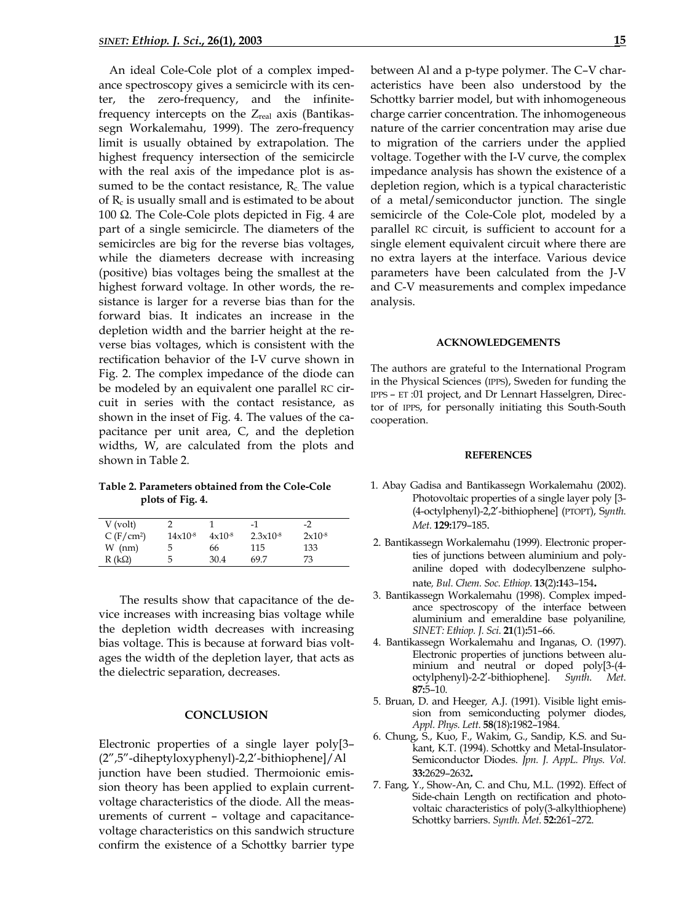An ideal Cole-Cole plot of a complex impedance spectroscopy gives a semicircle with its center, the zero-frequency, and the infinitefrequency intercepts on the  $Z_{\text{real}}$  axis (Bantikassegn Workalemahu, 1999). The zero-frequency limit is usually obtained by extrapolation. The highest frequency intersection of the semicircle with the real axis of the impedance plot is assumed to be the contact resistance,  $R_c$ . The value of  $R_c$  is usually small and is estimated to be about 100 Ω. The Cole-Cole plots depicted in Fig. 4 are part of a single semicircle. The diameters of the semicircles are big for the reverse bias voltages, while the diameters decrease with increasing (positive) bias voltages being the smallest at the highest forward voltage. In other words, the resistance is larger for a reverse bias than for the forward bias. It indicates an increase in the depletion width and the barrier height at the reverse bias voltages, which is consistent with the rectification behavior of the I-V curve shown in Fig. 2. The complex impedance of the diode can be modeled by an equivalent one parallel RC circuit in series with the contact resistance, as shown in the inset of Fig. 4. The values of the capacitance per unit area, C, and the depletion widths, W, are calculated from the plots and shown in Table 2.

**Table 2. Parameters obtained from the Cole-Cole plots of Fig. 4.** 

| $V$ (volt)            |              |             | $-1$                 | $-2^{\circ}$ |
|-----------------------|--------------|-------------|----------------------|--------------|
| C(F/cm <sup>2</sup> ) | $14x10^{-8}$ | $4x10^{-8}$ | $2.3 \times 10^{-8}$ | $2x10^{-8}$  |
| $W$ (nm)              | 5.           | 66          | 115                  | 133          |
| $R(k\Omega)$          | 5            | 30.4        | 69.7                 | 73           |

 The results show that capacitance of the device increases with increasing bias voltage while the depletion width decreases with increasing bias voltage. This is because at forward bias voltages the width of the depletion layer, that acts as the dielectric separation, decreases.

# **CONCLUSION**

Electronic properties of a single layer poly[3– (2",5"-diheptyloxyphenyl)-2,2'-bithiophene]/Al junction have been studied. Thermoionic emission theory has been applied to explain currentvoltage characteristics of the diode. All the measurements of current – voltage and capacitancevoltage characteristics on this sandwich structure confirm the existence of a Schottky barrier type between Al and a p-type polymer. The C–V characteristics have been also understood by the Schottky barrier model, but with inhomogeneous charge carrier concentration. The inhomogeneous nature of the carrier concentration may arise due to migration of the carriers under the applied voltage. Together with the I-V curve, the complex impedance analysis has shown the existence of a depletion region, which is a typical characteristic of a metal/semiconductor junction. The single semicircle of the Cole-Cole plot, modeled by a parallel RC circuit, is sufficient to account for a single element equivalent circuit where there are no extra layers at the interface. Various device parameters have been calculated from the J-V and C-V measurements and complex impedance analysis.

### **ACKNOWLEDGEMENTS**

The authors are grateful to the International Program in the Physical Sciences (IPPS), Sweden for funding the IPPS – ET :01 project, and Dr Lennart Hasselgren, Director of IPPS, for personally initiating this South-South cooperation.

#### **REFERENCES**

- 1. Abay Gadisa and Bantikassegn Workalemahu (2002). Photovoltaic properties of a single layer poly [3- (4-octylphenyl)-2,2'-bithiophene] (PTOPT), S*ynth. Met*. **129:**179–185.
- 2. Bantikassegn Workalemahu (1999). Electronic properties of junctions between aluminium and polyaniline doped with dodecylbenzene sulphonate*, Bul. Chem. Soc. Ethiop*. **13**(2)**:1**43–154**.**
- 3. Bantikassegn Workalemahu (1998). Complex impedance spectroscopy of the interface between aluminium and emeraldine base polyaniline*, SINET: Ethiop. J. Sci*. **21**(1)**:**51–66.
- 4. Bantikassegn Workalemahu and Inganas, O. (1997). Electronic properties of junctions between aluminium and neutral or doped poly[3-(4 octylphenyl)-2-2'-bithiophene]. *Synth*. *Met*. **87:**5–10.
- 5. Bruan, D. and Heeger*,* A.J. (1991). Visible light emission from semiconducting polymer diodes, *Appl. Phys. Lett*. **58**(18)**:**1982–1984.
- 6. Chung, S., Kuo, F., Wakim, G., Sandip, K.S. and Sukant, K.T. (1994). Schottky and Metal-Insulator-Semiconductor Diodes. *Jpn. J. AppL. Phys. Vol.* **33:**2629–2632**.**
- 7. Fang, Y., Show-An, C. and Chu, M.L. (1992). Effect of Side-chain Length on rectification and photovoltaic characteristics of poly(3-alkylthiophene) Schottky barriers. *Synth. Met*. **52:**261–272.